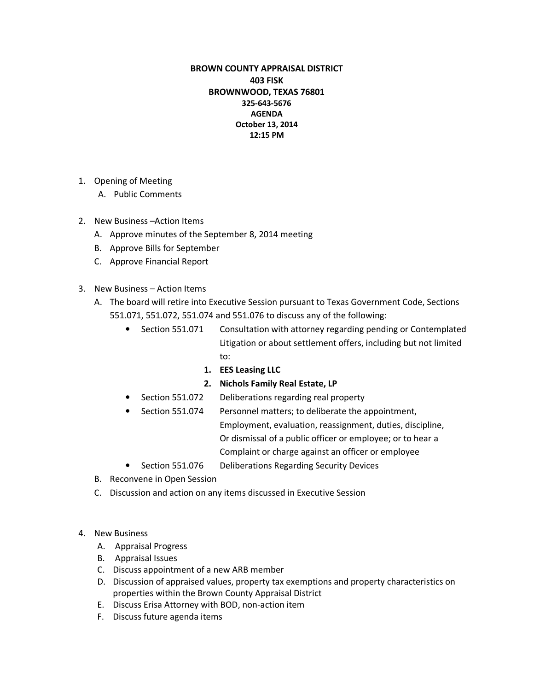## BROWN COUNTY APPRAISAL DISTRICT 403 FISK BROWNWOOD, TEXAS 76801 325-643-5676 AGENDA October 13, 2014 12:15 PM

- 1. Opening of Meeting
	- A. Public Comments
- 2. New Business –Action Items
	- A. Approve minutes of the September 8, 2014 meeting
	- B. Approve Bills for September
	- C. Approve Financial Report
- 3. New Business Action Items
	- A. The board will retire into Executive Session pursuant to Texas Government Code, Sections 551.071, 551.072, 551.074 and 551.076 to discuss any of the following:
		- Section 551.071 Consultation with attorney regarding pending or Contemplated Litigation or about settlement offers, including but not limited to:
			- 1. EES Leasing LLC

## 2. Nichols Family Real Estate, LP

- Section 551.072 Deliberations regarding real property
- Section 551.074 Personnel matters; to deliberate the appointment, Employment, evaluation, reassignment, duties, discipline, Or dismissal of a public officer or employee; or to hear a Complaint or charge against an officer or employee
- Section 551.076 Deliberations Regarding Security Devices
- B. Reconvene in Open Session
- C. Discussion and action on any items discussed in Executive Session
- 4. New Business
	- A. Appraisal Progress
	- B. Appraisal Issues
	- C. Discuss appointment of a new ARB member
	- D. Discussion of appraised values, property tax exemptions and property characteristics on properties within the Brown County Appraisal District
	- E. Discuss Erisa Attorney with BOD, non-action item
	- F. Discuss future agenda items